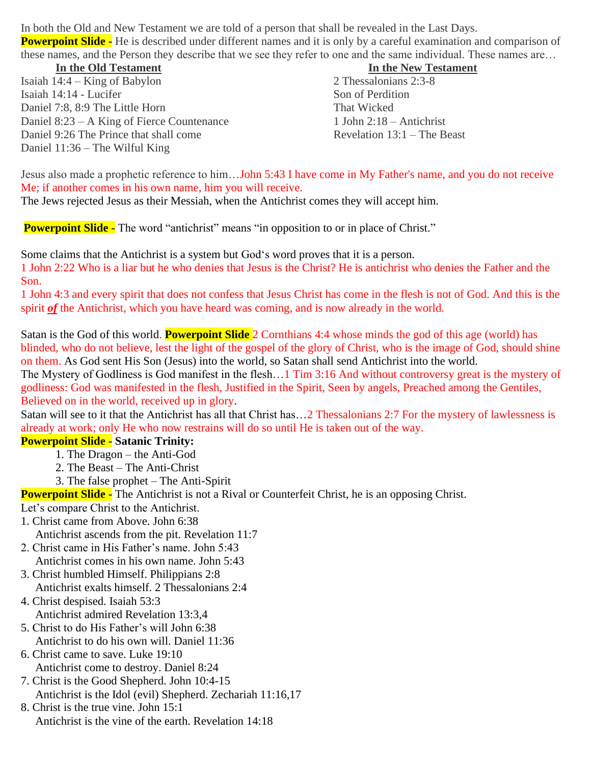In both the Old and New Testament we are told of a person that shall be revealed in the Last Days. **Powerpoint Slide -** He is described under different names and it is only by a careful examination and comparison of these names, and the Person they describe that we see they refer to one and the same individual. These names are…

**In the Old Testament In the New Testament** Isaiah 14:4 – King of Babylon 2 Thessalonians 2:3-8 Isaiah 14:14 - Lucifer Son of Perdition Daniel 7:8, 8:9 The Little Horn That Wicked Daniel 8:23 – A King of Fierce Countenance 1 John 2:18 – Antichrist Daniel 9:26 The Prince that shall come Revelation 13:1 – The Beast Daniel 11:36 – The Wilful King

Jesus also made a prophetic reference to him…John 5:43 I have come in My Father's name, and you do not receive Me; if another comes in his own name, him you will receive.

The Jews rejected Jesus as their Messiah, when the Antichrist comes they will accept him.

**Powerpoint Slide -** The word "antichrist" means "in opposition to or in place of Christ."

Some claims that the Antichrist is a system but God's word proves that it is a person. 1 John 2:22 Who is a liar but he who denies that Jesus is the Christ? He is antichrist who denies the Father and the Son.

1 John 4:3 and every spirit that does not confess that Jesus Christ has come in the flesh is not of God. And this is the spirit *of* the Antichrist, which you have heard was coming, and is now already in the world.

Satan is the God of this world. **Powerpoint Slide** 2 Cornthians 4:4 whose minds the god of this age (world) has blinded, who do not believe, lest the light of the gospel of the glory of Christ, who is the image of God, should shine on them. As God sent His Son (Jesus) into the world, so Satan shall send Antichrist into the world.

The Mystery of Godliness is God manifest in the flesh…1 Tim 3:16 And without controversy great is the mystery of godliness: God was manifested in the flesh, Justified in the Spirit, Seen by angels, Preached among the Gentiles, Believed on in the world, received up in glory.

Satan will see to it that the Antichrist has all that Christ has…2 Thessalonians 2:7 For the mystery of lawlessness is already at work; only He who now restrains will do so until He is taken out of the way.

## **Powerpoint Slide - Satanic Trinity:**

- 1. The Dragon the Anti-God
	- 2. The Beast The Anti-Christ
	- 3. The false prophet The Anti-Spirit

**Powerpoint Slide -** The Antichrist is not a Rival or Counterfeit Christ, he is an opposing Christ.

- Let's compare Christ to the Antichrist.
- 1. Christ came from Above. John 6:38
	- Antichrist ascends from the pit. Revelation 11:7
- 2. Christ came in His Father's name. John 5:43 Antichrist comes in his own name. John 5:43
- 3. Christ humbled Himself. Philippians 2:8 Antichrist exalts himself. 2 Thessalonians 2:4
- 4. Christ despised. Isaiah 53:3
	- Antichrist admired Revelation 13:3,4
- 5. Christ to do His Father's will John 6:38 Antichrist to do his own will. Daniel 11:36
- 6. Christ came to save. Luke 19:10 Antichrist come to destroy. Daniel 8:24
- 7. Christ is the Good Shepherd. John 10:4-15 Antichrist is the Idol (evil) Shepherd. Zechariah 11:16,17
- 8. Christ is the true vine. John 15:1 Antichrist is the vine of the earth. Revelation 14:18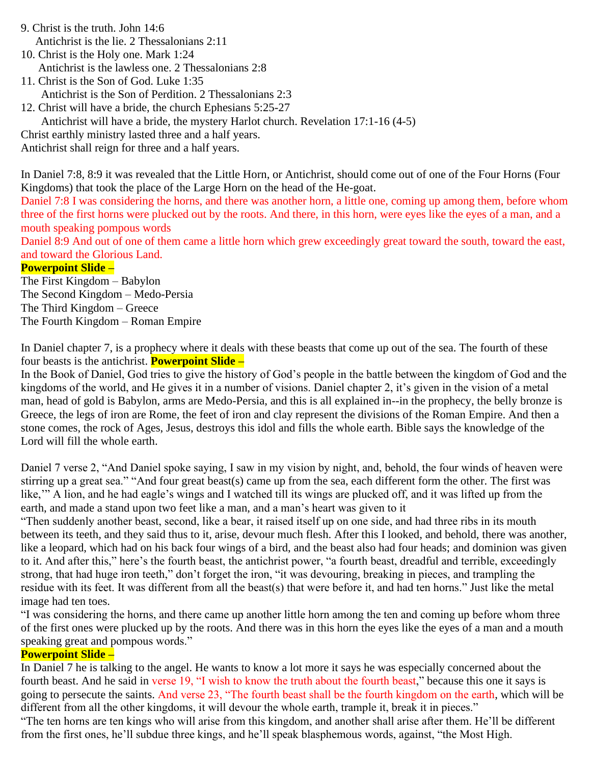9. Christ is the truth. John 14:6 Antichrist is the lie. 2 Thessalonians 2:11

10. Christ is the Holy one. Mark 1:24 Antichrist is the lawless one. 2 Thessalonians 2:8

11. Christ is the Son of God. Luke 1:35 Antichrist is the Son of Perdition. 2 Thessalonians 2:3

12. Christ will have a bride, the church Ephesians 5:25-27

Antichrist will have a bride, the mystery Harlot church. Revelation 17:1-16 (4-5)

Christ earthly ministry lasted three and a half years.

Antichrist shall reign for three and a half years.

In Daniel 7:8, 8:9 it was revealed that the Little Horn, or Antichrist, should come out of one of the Four Horns (Four Kingdoms) that took the place of the Large Horn on the head of the He-goat.

Daniel 7:8 I was considering the horns, and there was another horn, a little one, coming up among them, before whom three of the first horns were plucked out by the roots. And there, in this horn, were eyes like the eyes of a man, and a mouth speaking pompous words

Daniel 8:9 And out of one of them came a little horn which grew exceedingly great toward the south, toward the east, and toward the Glorious Land.

#### **Powerpoint Slide –**

The First Kingdom – Babylon The Second Kingdom – Medo-Persia The Third Kingdom – Greece The Fourth Kingdom – Roman Empire

In Daniel chapter 7, is a prophecy where it deals with these beasts that come up out of the sea. The fourth of these four beasts is the antichrist. **Powerpoint Slide –**

In the Book of Daniel, God tries to give the history of God's people in the battle between the kingdom of God and the kingdoms of the world, and He gives it in a number of visions. Daniel chapter 2, it's given in the vision of a metal man, head of gold is Babylon, arms are Medo-Persia, and this is all explained in--in the prophecy, the belly bronze is Greece, the legs of iron are Rome, the feet of iron and clay represent the divisions of the Roman Empire. And then a stone comes, the rock of Ages, Jesus, destroys this idol and fills the whole earth. Bible says the knowledge of the Lord will fill the whole earth.

Daniel 7 verse 2, "And Daniel spoke saying, I saw in my vision by night, and, behold, the four winds of heaven were stirring up a great sea." "And four great beast(s) came up from the sea, each different form the other. The first was like," A lion, and he had eagle's wings and I watched till its wings are plucked off, and it was lifted up from the earth, and made a stand upon two feet like a man, and a man's heart was given to it

"Then suddenly another beast, second, like a bear, it raised itself up on one side, and had three ribs in its mouth between its teeth, and they said thus to it, arise, devour much flesh. After this I looked, and behold, there was another, like a leopard, which had on his back four wings of a bird, and the beast also had four heads; and dominion was given to it. And after this," here's the fourth beast, the antichrist power, "a fourth beast, dreadful and terrible, exceedingly strong, that had huge iron teeth," don't forget the iron, "it was devouring, breaking in pieces, and trampling the residue with its feet. It was different from all the beast(s) that were before it, and had ten horns." Just like the metal image had ten toes.

"I was considering the horns, and there came up another little horn among the ten and coming up before whom three of the first ones were plucked up by the roots. And there was in this horn the eyes like the eyes of a man and a mouth speaking great and pompous words."

## **Powerpoint Slide –**

In Daniel 7 he is talking to the angel. He wants to know a lot more it says he was especially concerned about the fourth beast. And he said in verse 19, "I wish to know the truth about the fourth beast," because this one it says is going to persecute the saints. And verse 23, "The fourth beast shall be the fourth kingdom on the earth, which will be different from all the other kingdoms, it will devour the whole earth, trample it, break it in pieces." "The ten horns are ten kings who will arise from this kingdom, and another shall arise after them. He'll be different from the first ones, he'll subdue three kings, and he'll speak blasphemous words, against, "the Most High.